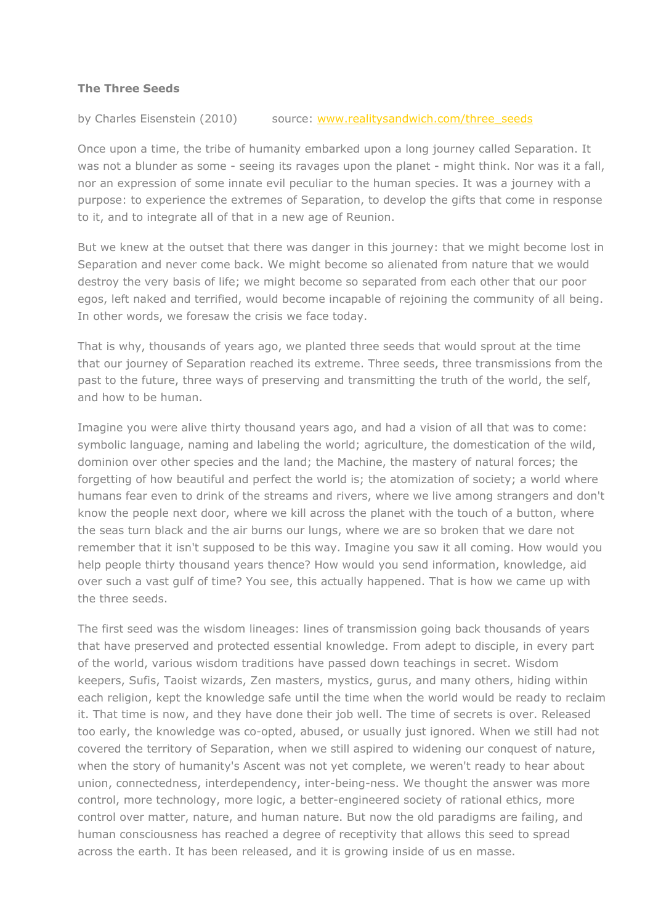## **The Three Seeds**

by Charles Eisenstein (2010) source: www.realitysandwich.com/three\_seeds

Once upon a time, the tribe of humanity embarked upon a long journey called Separation. It was not a blunder as some - seeing its ravages upon the planet - might think. Nor was it a fall, nor an expression of some innate evil peculiar to the human species. It was a journey with a purpose: to experience the extremes of Separation, to develop the gifts that come in response to it, and to integrate all of that in a new age of Reunion.

But we knew at the outset that there was danger in this journey: that we might become lost in Separation and never come back. We might become so alienated from nature that we would destroy the very basis of life; we might become so separated from each other that our poor egos, left naked and terrified, would become incapable of rejoining the community of all being. In other words, we foresaw the crisis we face today.

That is why, thousands of years ago, we planted three seeds that would sprout at the time that our journey of Separation reached its extreme. Three seeds, three transmissions from the past to the future, three ways of preserving and transmitting the truth of the world, the self, and how to be human.

Imagine you were alive thirty thousand years ago, and had a vision of all that was to come: symbolic language, naming and labeling the world; agriculture, the domestication of the wild, dominion over other species and the land; the Machine, the mastery of natural forces; the forgetting of how beautiful and perfect the world is; the atomization of society; a world where humans fear even to drink of the streams and rivers, where we live among strangers and don't know the people next door, where we kill across the planet with the touch of a button, where the seas turn black and the air burns our lungs, where we are so broken that we dare not remember that it isn't supposed to be this way. Imagine you saw it all coming. How would you help people thirty thousand years thence? How would you send information, knowledge, aid over such a vast gulf of time? You see, this actually happened. That is how we came up with the three seeds.

The first seed was the wisdom lineages: lines of transmission going back thousands of years that have preserved and protected essential knowledge. From adept to disciple, in every part of the world, various wisdom traditions have passed down teachings in secret. Wisdom keepers, Sufis, Taoist wizards, Zen masters, mystics, gurus, and many others, hiding within each religion, kept the knowledge safe until the time when the world would be ready to reclaim it. That time is now, and they have done their job well. The time of secrets is over. Released too early, the knowledge was co-opted, abused, or usually just ignored. When we still had not covered the territory of Separation, when we still aspired to widening our conquest of nature, when the story of humanity's Ascent was not yet complete, we weren't ready to hear about union, connectedness, interdependency, inter-being-ness. We thought the answer was more control, more technology, more logic, a better-engineered society of rational ethics, more control over matter, nature, and human nature. But now the old paradigms are failing, and human consciousness has reached a degree of receptivity that allows this seed to spread across the earth. It has been released, and it is growing inside of us en masse.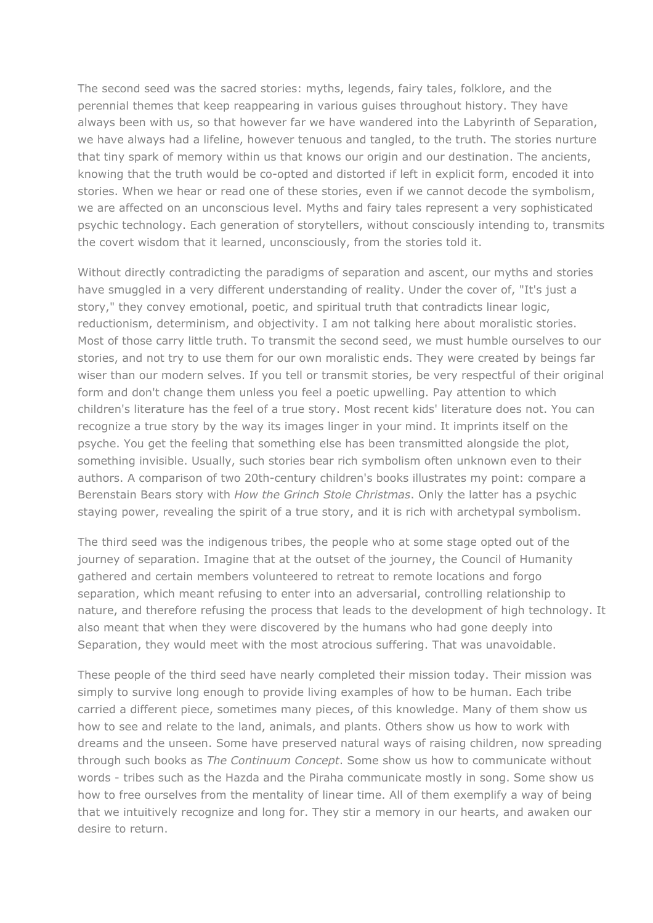The second seed was the sacred stories: myths, legends, fairy tales, folklore, and the perennial themes that keep reappearing in various guises throughout history. They have always been with us, so that however far we have wandered into the Labyrinth of Separation, we have always had a lifeline, however tenuous and tangled, to the truth. The stories nurture that tiny spark of memory within us that knows our origin and our destination. The ancients, knowing that the truth would be co-opted and distorted if left in explicit form, encoded it into stories. When we hear or read one of these stories, even if we cannot decode the symbolism, we are affected on an unconscious level. Myths and fairy tales represent a very sophisticated psychic technology. Each generation of storytellers, without consciously intending to, transmits the covert wisdom that it learned, unconsciously, from the stories told it.

Without directly contradicting the paradigms of separation and ascent, our myths and stories have smuggled in a very different understanding of reality. Under the cover of, "It's just a story," they convey emotional, poetic, and spiritual truth that contradicts linear logic, reductionism, determinism, and objectivity. I am not talking here about moralistic stories. Most of those carry little truth. To transmit the second seed, we must humble ourselves to our stories, and not try to use them for our own moralistic ends. They were created by beings far wiser than our modern selves. If you tell or transmit stories, be very respectful of their original form and don't change them unless you feel a poetic upwelling. Pay attention to which children's literature has the feel of a true story. Most recent kids' literature does not. You can recognize a true story by the way its images linger in your mind. It imprints itself on the psyche. You get the feeling that something else has been transmitted alongside the plot, something invisible. Usually, such stories bear rich symbolism often unknown even to their authors. A comparison of two 20th-century children's books illustrates my point: compare a Berenstain Bears story with *How the Grinch Stole Christmas*. Only the latter has a psychic staying power, revealing the spirit of a true story, and it is rich with archetypal symbolism.

The third seed was the indigenous tribes, the people who at some stage opted out of the journey of separation. Imagine that at the outset of the journey, the Council of Humanity gathered and certain members volunteered to retreat to remote locations and forgo separation, which meant refusing to enter into an adversarial, controlling relationship to nature, and therefore refusing the process that leads to the development of high technology. It also meant that when they were discovered by the humans who had gone deeply into Separation, they would meet with the most atrocious suffering. That was unavoidable.

These people of the third seed have nearly completed their mission today. Their mission was simply to survive long enough to provide living examples of how to be human. Each tribe carried a different piece, sometimes many pieces, of this knowledge. Many of them show us how to see and relate to the land, animals, and plants. Others show us how to work with dreams and the unseen. Some have preserved natural ways of raising children, now spreading through such books as *The Continuum Concept*. Some show us how to communicate without words - tribes such as the Hazda and the Piraha communicate mostly in song. Some show us how to free ourselves from the mentality of linear time. All of them exemplify a way of being that we intuitively recognize and long for. They stir a memory in our hearts, and awaken our desire to return.